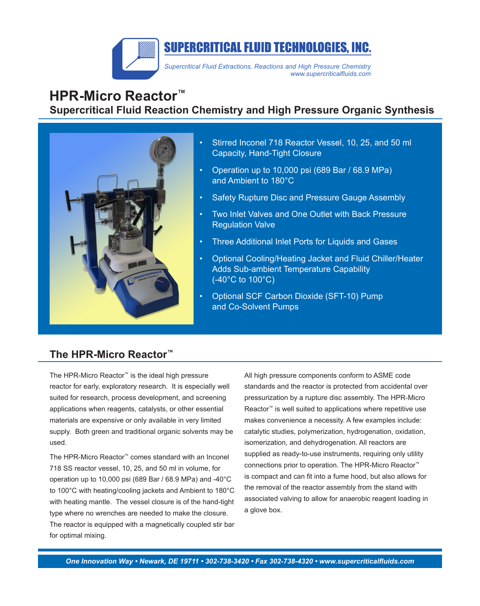

# **HPR-Micro Reactor™ Supercritical Fluid Reaction Chemistry and High Pressure Organic Synthesis**



- Stirred Inconel 718 Reactor Vessel, 10, 25, and 50 ml Capacity, Hand-Tight Closure
- Operation up to 10,000 psi (689 Bar / 68.9 MPa) and Ambient to 180°C
- Safety Rupture Disc and Pressure Gauge Assembly
- Two Inlet Valves and One Outlet with Back Pressure Regulation Valve
- Three Additional Inlet Ports for Liquids and Gases
- Optional Cooling/Heating Jacket and Fluid Chiller/Heater Adds Sub-ambient Temperature Capability (-40°C to 100°C)
- • Optional SCF Carbon Dioxide (SFT-10) Pump and Co-Solvent Pumps

#### **The HPR-Micro Reactor™**

The HPR-Micro Reactor™ is the ideal high pressure reactor for early, exploratory research. It is especially well suited for research, process development, and screening applications when reagents, catalysts, or other essential materials are expensive or only available in very limited supply. Both green and traditional organic solvents may be used.

The HPR-Micro Reactor™ comes standard with an Inconel 718 SS reactor vessel, 10, 25, and 50 ml in volume, for operation up to 10,000 psi (689 Bar / 68.9 MPa) and -40°C to 100°C with heating/cooling jackets and Ambient to 180°C with heating mantle. The vessel closure is of the hand-tight type where no wrenches are needed to make the closure. The reactor is equipped with a magnetically coupled stir bar for optimal mixing.

All high pressure components conform to ASME code standards and the reactor is protected from accidental over pressurization by a rupture disc assembly. The HPR-Micro Reactor<sup>™</sup> is well suited to applications where repetitive use makes convenience a necessity. A few examples include: catalytic studies, polymerization, hydrogenation, oxidation, isomerization, and dehydrogenation. All reactors are supplied as ready-to-use instruments, requiring only utility connections prior to operation. The HPR-Micro Reactor™ is compact and can fit into a fume hood, but also allows for the removal of the reactor assembly from the stand with associated valving to allow for anaerobic reagent loading in a glove box.